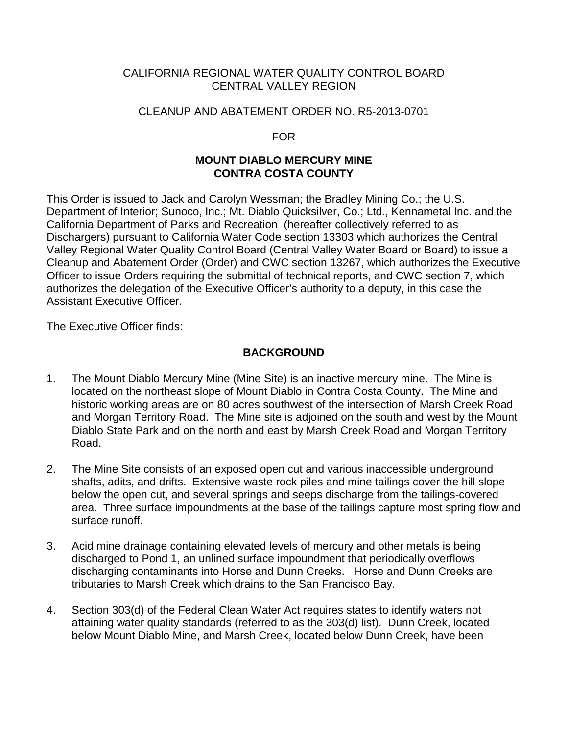### CALIFORNIA REGIONAL WATER QUALITY CONTROL BOARD CENTRAL VALLEY REGION

#### CLEANUP AND ABATEMENT ORDER NO. R5-2013-0701

#### FOR

### **MOUNT DIABLO MERCURY MINE CONTRA COSTA COUNTY**

This Order is issued to Jack and Carolyn Wessman; the Bradley Mining Co.; the U.S. Department of Interior; Sunoco, Inc.; Mt. Diablo Quicksilver, Co.; Ltd., Kennametal Inc. and the California Department of Parks and Recreation (hereafter collectively referred to as Dischargers) pursuant to California Water Code section 13303 which authorizes the Central Valley Regional Water Quality Control Board (Central Valley Water Board or Board) to issue a Cleanup and Abatement Order (Order) and CWC section 13267, which authorizes the Executive Officer to issue Orders requiring the submittal of technical reports, and CWC section 7, which authorizes the delegation of the Executive Officer's authority to a deputy, in this case the Assistant Executive Officer.

The Executive Officer finds:

## **BACKGROUND**

- 1. The Mount Diablo Mercury Mine (Mine Site) is an inactive mercury mine. The Mine is located on the northeast slope of Mount Diablo in Contra Costa County. The Mine and historic working areas are on 80 acres southwest of the intersection of Marsh Creek Road and Morgan Territory Road. The Mine site is adjoined on the south and west by the Mount Diablo State Park and on the north and east by Marsh Creek Road and Morgan Territory Road.
- 2. The Mine Site consists of an exposed open cut and various inaccessible underground shafts, adits, and drifts. Extensive waste rock piles and mine tailings cover the hill slope below the open cut, and several springs and seeps discharge from the tailings-covered area. Three surface impoundments at the base of the tailings capture most spring flow and surface runoff.
- 3. Acid mine drainage containing elevated levels of mercury and other metals is being discharged to Pond 1, an unlined surface impoundment that periodically overflows discharging contaminants into Horse and Dunn Creeks. Horse and Dunn Creeks are tributaries to Marsh Creek which drains to the San Francisco Bay.
- 4. Section 303(d) of the Federal Clean Water Act requires states to identify waters not attaining water quality standards (referred to as the 303(d) list). Dunn Creek, located below Mount Diablo Mine, and Marsh Creek, located below Dunn Creek, have been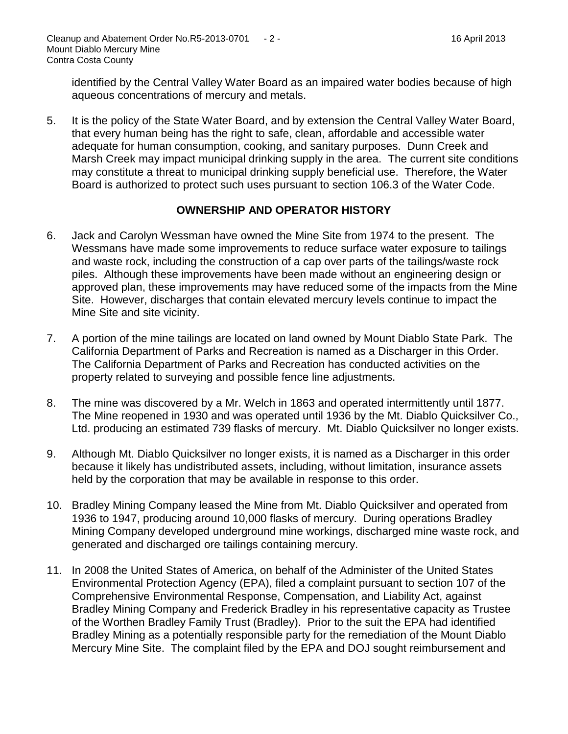identified by the Central Valley Water Board as an impaired water bodies because of high aqueous concentrations of mercury and metals.

5. It is the policy of the State Water Board, and by extension the Central Valley Water Board, that every human being has the right to safe, clean, affordable and accessible water adequate for human consumption, cooking, and sanitary purposes. Dunn Creek and Marsh Creek may impact municipal drinking supply in the area. The current site conditions may constitute a threat to municipal drinking supply beneficial use. Therefore, the Water Board is authorized to protect such uses pursuant to section 106.3 of the Water Code.

# **OWNERSHIP AND OPERATOR HISTORY**

- 6. Jack and Carolyn Wessman have owned the Mine Site from 1974 to the present. The Wessmans have made some improvements to reduce surface water exposure to tailings and waste rock, including the construction of a cap over parts of the tailings/waste rock piles. Although these improvements have been made without an engineering design or approved plan, these improvements may have reduced some of the impacts from the Mine Site. However, discharges that contain elevated mercury levels continue to impact the Mine Site and site vicinity.
- 7. A portion of the mine tailings are located on land owned by Mount Diablo State Park. The California Department of Parks and Recreation is named as a Discharger in this Order. The California Department of Parks and Recreation has conducted activities on the property related to surveying and possible fence line adjustments.
- 8. The mine was discovered by a Mr. Welch in 1863 and operated intermittently until 1877. The Mine reopened in 1930 and was operated until 1936 by the Mt. Diablo Quicksilver Co., Ltd. producing an estimated 739 flasks of mercury. Mt. Diablo Quicksilver no longer exists.
- 9. Although Mt. Diablo Quicksilver no longer exists, it is named as a Discharger in this order because it likely has undistributed assets, including, without limitation, insurance assets held by the corporation that may be available in response to this order.
- 10. Bradley Mining Company leased the Mine from Mt. Diablo Quicksilver and operated from 1936 to 1947, producing around 10,000 flasks of mercury. During operations Bradley Mining Company developed underground mine workings, discharged mine waste rock, and generated and discharged ore tailings containing mercury.
- 11. In 2008 the United States of America, on behalf of the Administer of the United States Environmental Protection Agency (EPA), filed a complaint pursuant to section 107 of the Comprehensive Environmental Response, Compensation, and Liability Act, against Bradley Mining Company and Frederick Bradley in his representative capacity as Trustee of the Worthen Bradley Family Trust (Bradley). Prior to the suit the EPA had identified Bradley Mining as a potentially responsible party for the remediation of the Mount Diablo Mercury Mine Site. The complaint filed by the EPA and DOJ sought reimbursement and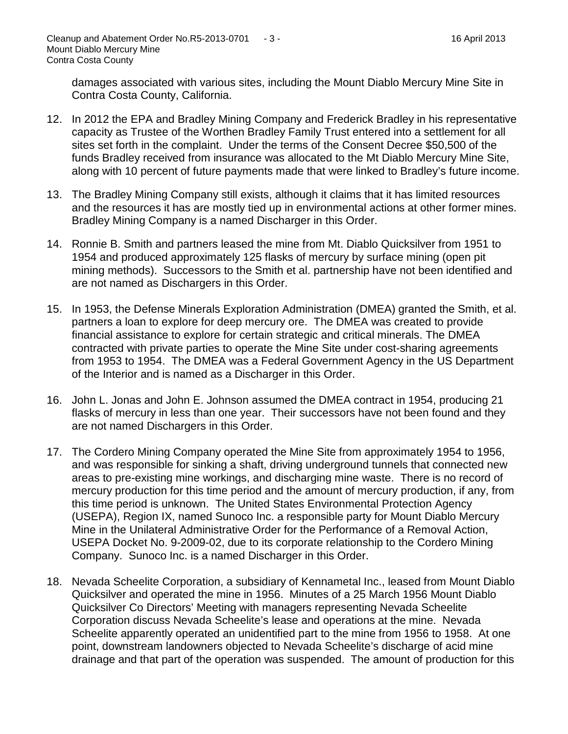damages associated with various sites, including the Mount Diablo Mercury Mine Site in Contra Costa County, California.

- 12. In 2012 the EPA and Bradley Mining Company and Frederick Bradley in his representative capacity as Trustee of the Worthen Bradley Family Trust entered into a settlement for all sites set forth in the complaint. Under the terms of the Consent Decree \$50,500 of the funds Bradley received from insurance was allocated to the Mt Diablo Mercury Mine Site, along with 10 percent of future payments made that were linked to Bradley's future income.
- 13. The Bradley Mining Company still exists, although it claims that it has limited resources and the resources it has are mostly tied up in environmental actions at other former mines. Bradley Mining Company is a named Discharger in this Order.
- 14. Ronnie B. Smith and partners leased the mine from Mt. Diablo Quicksilver from 1951 to 1954 and produced approximately 125 flasks of mercury by surface mining (open pit mining methods). Successors to the Smith et al. partnership have not been identified and are not named as Dischargers in this Order.
- 15. In 1953, the Defense Minerals Exploration Administration (DMEA) granted the Smith, et al. partners a loan to explore for deep mercury ore. The DMEA was created to provide financial assistance to explore for certain strategic and critical minerals. The DMEA contracted with private parties to operate the Mine Site under cost-sharing agreements from 1953 to 1954. The DMEA was a Federal Government Agency in the US Department of the Interior and is named as a Discharger in this Order.
- 16. John L. Jonas and John E. Johnson assumed the DMEA contract in 1954, producing 21 flasks of mercury in less than one year. Their successors have not been found and they are not named Dischargers in this Order.
- 17. The Cordero Mining Company operated the Mine Site from approximately 1954 to 1956, and was responsible for sinking a shaft, driving underground tunnels that connected new areas to pre-existing mine workings, and discharging mine waste. There is no record of mercury production for this time period and the amount of mercury production, if any, from this time period is unknown. The United States Environmental Protection Agency (USEPA), Region IX, named Sunoco Inc. a responsible party for Mount Diablo Mercury Mine in the Unilateral Administrative Order for the Performance of a Removal Action, USEPA Docket No. 9-2009-02, due to its corporate relationship to the Cordero Mining Company. Sunoco Inc. is a named Discharger in this Order.
- 18. Nevada Scheelite Corporation, a subsidiary of Kennametal Inc., leased from Mount Diablo Quicksilver and operated the mine in 1956. Minutes of a 25 March 1956 Mount Diablo Quicksilver Co Directors' Meeting with managers representing Nevada Scheelite Corporation discuss Nevada Scheelite's lease and operations at the mine. Nevada Scheelite apparently operated an unidentified part to the mine from 1956 to 1958. At one point, downstream landowners objected to Nevada Scheelite's discharge of acid mine drainage and that part of the operation was suspended. The amount of production for this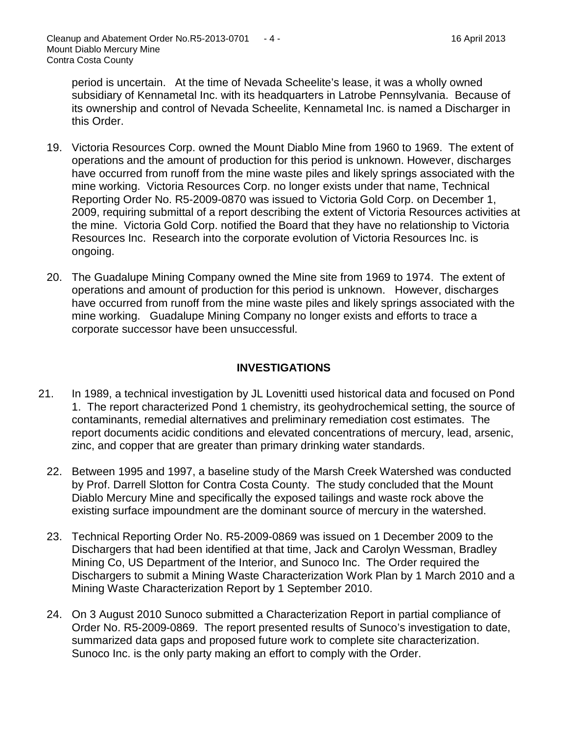period is uncertain. At the time of Nevada Scheelite's lease, it was a wholly owned subsidiary of Kennametal Inc. with its headquarters in Latrobe Pennsylvania. Because of its ownership and control of Nevada Scheelite, Kennametal Inc. is named a Discharger in this Order.

- 19. Victoria Resources Corp. owned the Mount Diablo Mine from 1960 to 1969. The extent of operations and the amount of production for this period is unknown. However, discharges have occurred from runoff from the mine waste piles and likely springs associated with the mine working. Victoria Resources Corp. no longer exists under that name, Technical Reporting Order No. R5-2009-0870 was issued to Victoria Gold Corp. on December 1, 2009, requiring submittal of a report describing the extent of Victoria Resources activities at the mine. Victoria Gold Corp. notified the Board that they have no relationship to Victoria Resources Inc. Research into the corporate evolution of Victoria Resources Inc. is ongoing.
- 20. The Guadalupe Mining Company owned the Mine site from 1969 to 1974. The extent of operations and amount of production for this period is unknown. However, discharges have occurred from runoff from the mine waste piles and likely springs associated with the mine working. Guadalupe Mining Company no longer exists and efforts to trace a corporate successor have been unsuccessful.

## **INVESTIGATIONS**

- 21. In 1989, a technical investigation by JL Lovenitti used historical data and focused on Pond 1. The report characterized Pond 1 chemistry, its geohydrochemical setting, the source of contaminants, remedial alternatives and preliminary remediation cost estimates. The report documents acidic conditions and elevated concentrations of mercury, lead, arsenic, zinc, and copper that are greater than primary drinking water standards.
	- 22. Between 1995 and 1997, a baseline study of the Marsh Creek Watershed was conducted by Prof. Darrell Slotton for Contra Costa County. The study concluded that the Mount Diablo Mercury Mine and specifically the exposed tailings and waste rock above the existing surface impoundment are the dominant source of mercury in the watershed.
	- 23. Technical Reporting Order No. R5-2009-0869 was issued on 1 December 2009 to the Dischargers that had been identified at that time, Jack and Carolyn Wessman, Bradley Mining Co, US Department of the Interior, and Sunoco Inc. The Order required the Dischargers to submit a Mining Waste Characterization Work Plan by 1 March 2010 and a Mining Waste Characterization Report by 1 September 2010.
	- 24. On 3 August 2010 Sunoco submitted a Characterization Report in partial compliance of Order No. R5-2009-0869. The report presented results of Sunoco's investigation to date, summarized data gaps and proposed future work to complete site characterization. Sunoco Inc. is the only party making an effort to comply with the Order.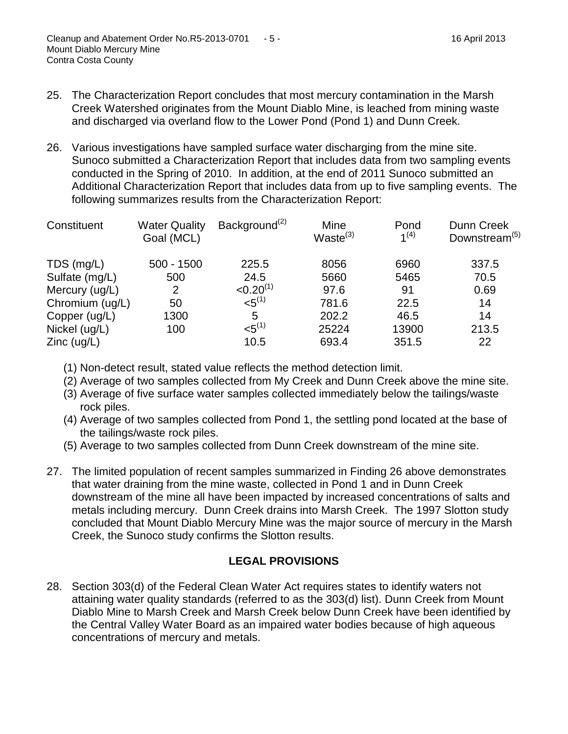- 25. The Characterization Report concludes that most mercury contamination in the Marsh Creek Watershed originates from the Mount Diablo Mine, is leached from mining waste and discharged via overland flow to the Lower Pond (Pond 1) and Dunn Creek.
- 26. Various investigations have sampled surface water discharging from the mine site. Sunoco submitted a Characterization Report that includes data from two sampling events conducted in the Spring of 2010. In addition, at the end of 2011 Sunoco submitted an Additional Characterization Report that includes data from up to five sampling events. The following summarizes results from the Characterization Report:

| Constituent     | <b>Water Quality</b><br>Goal (MCL) | Background <sup>(2)</sup> | Mine<br>Waste $(3)$ | Pond<br>1 <sup>(4)</sup> | Dunn Creek<br>Downstream <sup>(5)</sup> |
|-----------------|------------------------------------|---------------------------|---------------------|--------------------------|-----------------------------------------|
| TDS (mg/L)      | $500 - 1500$                       | 225.5                     | 8056                | 6960                     | 337.5                                   |
| Sulfate (mg/L)  | 500                                | 24.5                      | 5660                | 5465                     | 70.5                                    |
| Mercury (ug/L)  | 2                                  | $< 0.20^{(1)}$            | 97.6                | 91                       | 0.69                                    |
| Chromium (ug/L) | 50                                 | $<$ 5 $^{(1)}$            | 781.6               | 22.5                     | 14                                      |
| Copper (ug/L)   | 1300                               | 5                         | 202.2               | 46.5                     | 14                                      |
| Nickel (ug/L)   | 100                                | $<$ 5 $^{(1)}$            | 25224               | 13900                    | 213.5                                   |
| $Zinc$ (ug/L)   |                                    | 10.5                      | 693.4               | 351.5                    | 22                                      |

(1) Non-detect result, stated value reflects the method detection limit.

- (2) Average of two samples collected from My Creek and Dunn Creek above the mine site.
- (3) Average of five surface water samples collected immediately below the tailings/waste rock piles.
- (4) Average of two samples collected from Pond 1, the settling pond located at the base of the tailings/waste rock piles.
- (5) Average to two samples collected from Dunn Creek downstream of the mine site.
- 27. The limited population of recent samples summarized in Finding 26 above demonstrates that water draining from the mine waste, collected in Pond 1 and in Dunn Creek downstream of the mine all have been impacted by increased concentrations of salts and metals including mercury. Dunn Creek drains into Marsh Creek. The 1997 Slotton study concluded that Mount Diablo Mercury Mine was the major source of mercury in the Marsh Creek, the Sunoco study confirms the Slotton results.

# **LEGAL PROVISIONS**

28. Section 303(d) of the Federal Clean Water Act requires states to identify waters not attaining water quality standards (referred to as the 303(d) list). Dunn Creek from Mount Diablo Mine to Marsh Creek and Marsh Creek below Dunn Creek have been identified by the Central Valley Water Board as an impaired water bodies because of high aqueous concentrations of mercury and metals.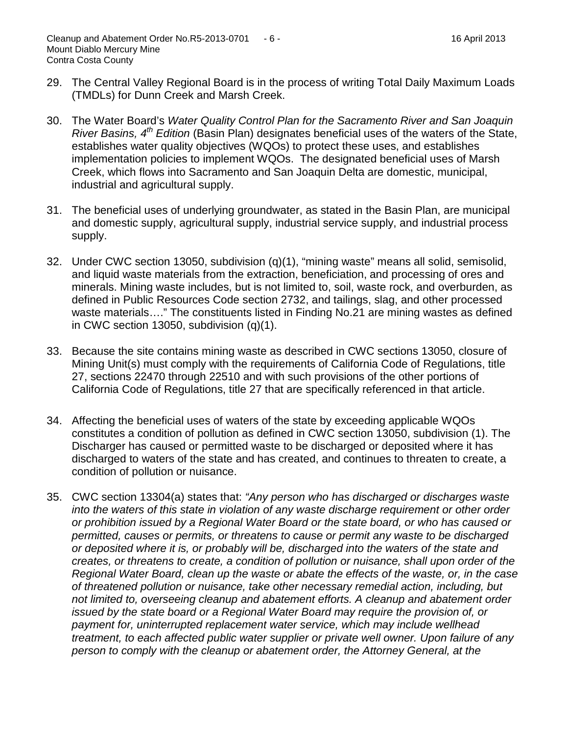- 29. The Central Valley Regional Board is in the process of writing Total Daily Maximum Loads (TMDLs) for Dunn Creek and Marsh Creek.
- 30. The Water Board's *Water Quality Control Plan for the Sacramento River and San Joaquin River Basins, 4th Edition* (Basin Plan) designates beneficial uses of the waters of the State, establishes water quality objectives (WQOs) to protect these uses, and establishes implementation policies to implement WQOs. The designated beneficial uses of Marsh Creek, which flows into Sacramento and San Joaquin Delta are domestic, municipal, industrial and agricultural supply.
- 31. The beneficial uses of underlying groundwater, as stated in the Basin Plan, are municipal and domestic supply, agricultural supply, industrial service supply, and industrial process supply.
- 32. Under CWC section 13050, subdivision (q)(1), "mining waste" means all solid, semisolid, and liquid waste materials from the extraction, beneficiation, and processing of ores and minerals. Mining waste includes, but is not limited to, soil, waste rock, and overburden, as defined in Public Resources Code section 2732, and tailings, slag, and other processed waste materials...." The constituents listed in Finding No.21 are mining wastes as defined in CWC section 13050, subdivision (q)(1).
- 33. Because the site contains mining waste as described in CWC sections 13050, closure of Mining Unit(s) must comply with the requirements of California Code of Regulations, title 27, sections 22470 through 22510 and with such provisions of the other portions of California Code of Regulations, title 27 that are specifically referenced in that article.
- 34. Affecting the beneficial uses of waters of the state by exceeding applicable WQOs constitutes a condition of pollution as defined in CWC section 13050, subdivision (1). The Discharger has caused or permitted waste to be discharged or deposited where it has discharged to waters of the state and has created, and continues to threaten to create, a condition of pollution or nuisance.
- 35. CWC section 13304(a) states that: *"Any person who has discharged or discharges waste into the waters of this state in violation of any waste discharge requirement or other order or prohibition issued by a Regional Water Board or the state board, or who has caused or permitted, causes or permits, or threatens to cause or permit any waste to be discharged or deposited where it is, or probably will be, discharged into the waters of the state and creates, or threatens to create, a condition of pollution or nuisance, shall upon order of the Regional Water Board, clean up the waste or abate the effects of the waste, or, in the case of threatened pollution or nuisance, take other necessary remedial action, including, but not limited to, overseeing cleanup and abatement efforts. A cleanup and abatement order issued by the state board or a Regional Water Board may require the provision of, or payment for, uninterrupted replacement water service, which may include wellhead treatment, to each affected public water supplier or private well owner. Upon failure of any person to comply with the cleanup or abatement order, the Attorney General, at the*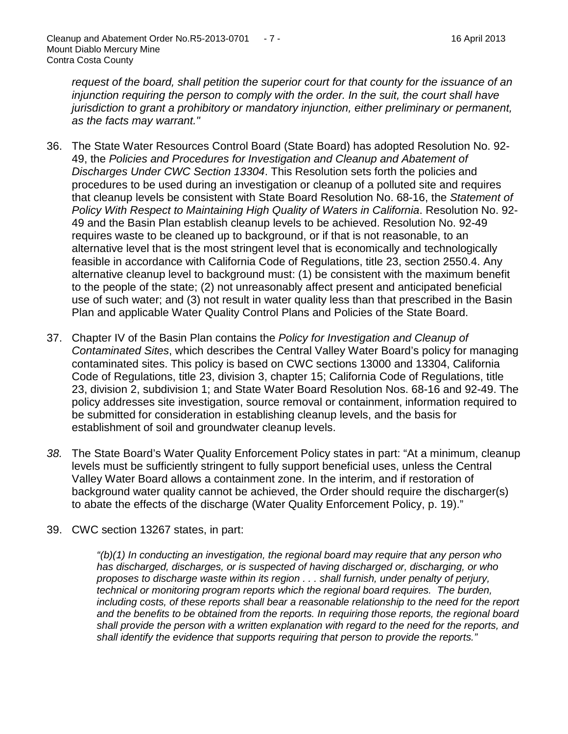*request of the board, shall petition the superior court for that county for the issuance of an injunction requiring the person to comply with the order. In the suit, the court shall have jurisdiction to grant a prohibitory or mandatory injunction, either preliminary or permanent, as the facts may warrant."*

- 36. The State Water Resources Control Board (State Board) has adopted Resolution No. 92- 49, the *Policies and Procedures for Investigation and Cleanup and Abatement of Discharges Under CWC Section 13304*. This Resolution sets forth the policies and procedures to be used during an investigation or cleanup of a polluted site and requires that cleanup levels be consistent with State Board Resolution No. 68-16, the *Statement of Policy With Respect to Maintaining High Quality of Waters in California*. Resolution No. 92- 49 and the Basin Plan establish cleanup levels to be achieved. Resolution No. 92-49 requires waste to be cleaned up to background, or if that is not reasonable, to an alternative level that is the most stringent level that is economically and technologically feasible in accordance with California Code of Regulations, title 23, section 2550.4. Any alternative cleanup level to background must: (1) be consistent with the maximum benefit to the people of the state; (2) not unreasonably affect present and anticipated beneficial use of such water; and (3) not result in water quality less than that prescribed in the Basin Plan and applicable Water Quality Control Plans and Policies of the State Board.
- 37. Chapter IV of the Basin Plan contains the *Policy for Investigation and Cleanup of Contaminated Sites*, which describes the Central Valley Water Board's policy for managing contaminated sites. This policy is based on CWC sections 13000 and 13304, California Code of Regulations, title 23, division 3, chapter 15; California Code of Regulations, title 23, division 2, subdivision 1; and State Water Board Resolution Nos. 68-16 and 92-49. The policy addresses site investigation, source removal or containment, information required to be submitted for consideration in establishing cleanup levels, and the basis for establishment of soil and groundwater cleanup levels.
- *38.* The State Board's Water Quality Enforcement Policy states in part: "At a minimum, cleanup levels must be sufficiently stringent to fully support beneficial uses, unless the Central Valley Water Board allows a containment zone. In the interim, and if restoration of background water quality cannot be achieved, the Order should require the discharger(s) to abate the effects of the discharge (Water Quality Enforcement Policy, p. 19)."
- 39. CWC section 13267 states, in part:

*"(b)(1) In conducting an investigation, the regional board may require that any person who has discharged, discharges, or is suspected of having discharged or, discharging, or who proposes to discharge waste within its region . . . shall furnish, under penalty of perjury, technical or monitoring program reports which the regional board requires. The burden, including costs, of these reports shall bear a reasonable relationship to the need for the report and the benefits to be obtained from the reports. In requiring those reports, the regional board shall provide the person with a written explanation with regard to the need for the reports, and shall identify the evidence that supports requiring that person to provide the reports."*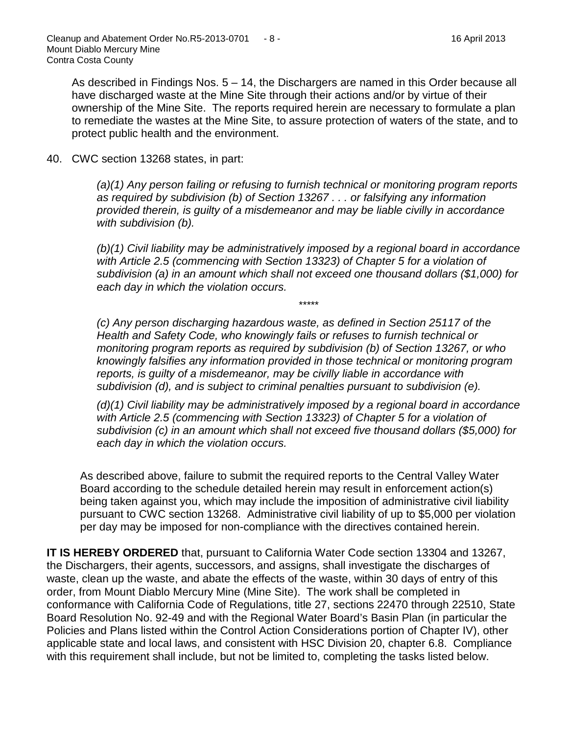As described in Findings Nos. 5 – 14, the Dischargers are named in this Order because all have discharged waste at the Mine Site through their actions and/or by virtue of their ownership of the Mine Site. The reports required herein are necessary to formulate a plan to remediate the wastes at the Mine Site, to assure protection of waters of the state, and to protect public health and the environment.

40. CWC section 13268 states, in part:

*(a)(1) Any person failing or refusing to furnish technical or monitoring program reports as required by subdivision (b) of Section 13267 . . . or falsifying any information provided therein, is guilty of a misdemeanor and may be liable civilly in accordance with subdivision (b).*

*(b)(1) Civil liability may be administratively imposed by a regional board in accordance with Article 2.5 (commencing with Section 13323) of Chapter 5 for a violation of subdivision (a) in an amount which shall not exceed one thousand dollars (\$1,000) for each day in which the violation occurs.*

\*\*\*\*\*

*(c) Any person discharging hazardous waste, as defined in Section 25117 of the Health and Safety Code, who knowingly fails or refuses to furnish technical or monitoring program reports as required by subdivision (b) of Section 13267, or who knowingly falsifies any information provided in those technical or monitoring program reports, is guilty of a misdemeanor, may be civilly liable in accordance with subdivision (d), and is subject to criminal penalties pursuant to subdivision (e).*

*(d)(1) Civil liability may be administratively imposed by a regional board in accordance with Article 2.5 (commencing with Section 13323) of Chapter 5 for a violation of subdivision (c) in an amount which shall not exceed five thousand dollars (\$5,000) for each day in which the violation occurs.*

As described above, failure to submit the required reports to the Central Valley Water Board according to the schedule detailed herein may result in enforcement action(s) being taken against you, which may include the imposition of administrative civil liability pursuant to CWC section 13268. Administrative civil liability of up to \$5,000 per violation per day may be imposed for non-compliance with the directives contained herein.

**IT IS HEREBY ORDERED** that, pursuant to California Water Code section 13304 and 13267, the Dischargers, their agents, successors, and assigns, shall investigate the discharges of waste, clean up the waste, and abate the effects of the waste, within 30 days of entry of this order, from Mount Diablo Mercury Mine (Mine Site). The work shall be completed in conformance with California Code of Regulations, title 27, sections 22470 through 22510, State Board Resolution No. 92-49 and with the Regional Water Board's Basin Plan (in particular the Policies and Plans listed within the Control Action Considerations portion of Chapter IV), other applicable state and local laws, and consistent with HSC Division 20, chapter 6.8. Compliance with this requirement shall include, but not be limited to, completing the tasks listed below.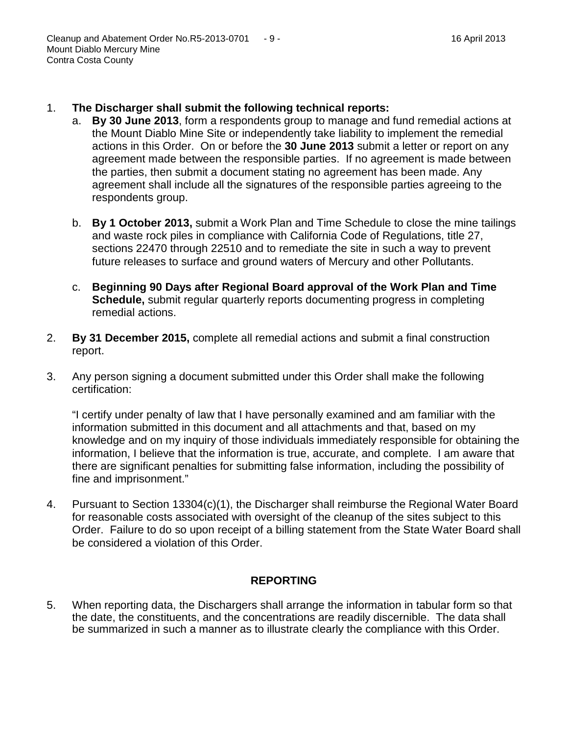- 1. **The Discharger shall submit the following technical reports:**
	- a. **By 30 June 2013**, form a respondents group to manage and fund remedial actions at the Mount Diablo Mine Site or independently take liability to implement the remedial actions in this Order. On or before the **30 June 2013** submit a letter or report on any agreement made between the responsible parties. If no agreement is made between the parties, then submit a document stating no agreement has been made. Any agreement shall include all the signatures of the responsible parties agreeing to the respondents group.
	- b. **By 1 October 2013,** submit a Work Plan and Time Schedule to close the mine tailings and waste rock piles in compliance with California Code of Regulations, title 27, sections 22470 through 22510 and to remediate the site in such a way to prevent future releases to surface and ground waters of Mercury and other Pollutants.
	- c. **Beginning 90 Days after Regional Board approval of the Work Plan and Time Schedule,** submit regular quarterly reports documenting progress in completing remedial actions.
- 2. **By 31 December 2015,** complete all remedial actions and submit a final construction report.
- 3. Any person signing a document submitted under this Order shall make the following certification:

"I certify under penalty of law that I have personally examined and am familiar with the information submitted in this document and all attachments and that, based on my knowledge and on my inquiry of those individuals immediately responsible for obtaining the information, I believe that the information is true, accurate, and complete. I am aware that there are significant penalties for submitting false information, including the possibility of fine and imprisonment."

4. Pursuant to Section 13304(c)(1), the Discharger shall reimburse the Regional Water Board for reasonable costs associated with oversight of the cleanup of the sites subject to this Order. Failure to do so upon receipt of a billing statement from the State Water Board shall be considered a violation of this Order.

## **REPORTING**

5. When reporting data, the Dischargers shall arrange the information in tabular form so that the date, the constituents, and the concentrations are readily discernible. The data shall be summarized in such a manner as to illustrate clearly the compliance with this Order.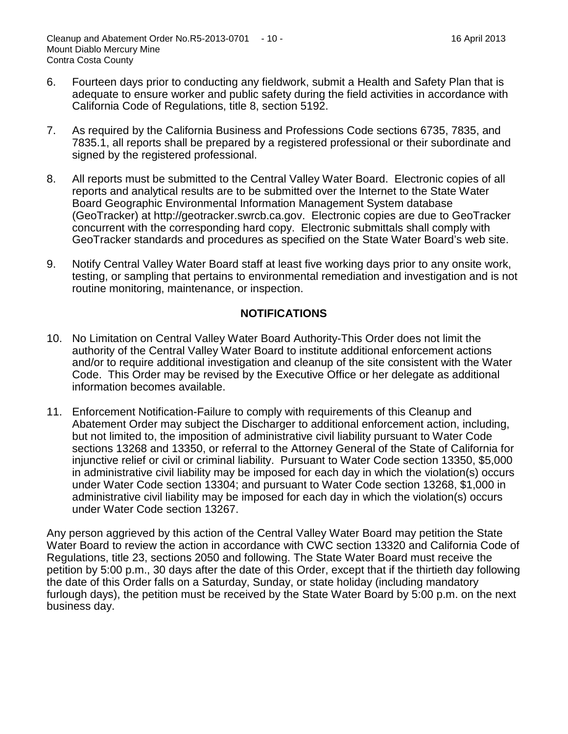- 6. Fourteen days prior to conducting any fieldwork, submit a Health and Safety Plan that is adequate to ensure worker and public safety during the field activities in accordance with California Code of Regulations, title 8, section 5192.
- 7. As required by the California Business and Professions Code sections 6735, 7835, and 7835.1, all reports shall be prepared by a registered professional or their subordinate and signed by the registered professional.
- 8. All reports must be submitted to the Central Valley Water Board. Electronic copies of all reports and analytical results are to be submitted over the Internet to the State Water Board Geographic Environmental Information Management System database (GeoTracker) at [http://geotracker.swrcb.ca.gov.](http://geotracker.swrcb.ca.gov/) Electronic copies are due to GeoTracker concurrent with the corresponding hard copy. Electronic submittals shall comply with GeoTracker standards and procedures as specified on the State Water Board's web site.
- 9. Notify Central Valley Water Board staff at least five working days prior to any onsite work, testing, or sampling that pertains to environmental remediation and investigation and is not routine monitoring, maintenance, or inspection.

## **NOTIFICATIONS**

- 10. No Limitation on Central Valley Water Board Authority-This Order does not limit the authority of the Central Valley Water Board to institute additional enforcement actions and/or to require additional investigation and cleanup of the site consistent with the Water Code. This Order may be revised by the Executive Office or her delegate as additional information becomes available.
- 11. Enforcement Notification-Failure to comply with requirements of this Cleanup and Abatement Order may subject the Discharger to additional enforcement action, including, but not limited to, the imposition of administrative civil liability pursuant to Water Code sections 13268 and 13350, or referral to the Attorney General of the State of California for injunctive relief or civil or criminal liability. Pursuant to Water Code section 13350, \$5,000 in administrative civil liability may be imposed for each day in which the violation(s) occurs under Water Code section 13304; and pursuant to Water Code section 13268, \$1,000 in administrative civil liability may be imposed for each day in which the violation(s) occurs under Water Code section 13267.

Any person aggrieved by this action of the Central Valley Water Board may petition the State Water Board to review the action in accordance with CWC section 13320 and California Code of Regulations, title 23, sections 2050 and following. The State Water Board must receive the petition by 5:00 p.m., 30 days after the date of this Order, except that if the thirtieth day following the date of this Order falls on a Saturday, Sunday, or state holiday (including mandatory furlough days), the petition must be received by the State Water Board by 5:00 p.m. on the next business day.